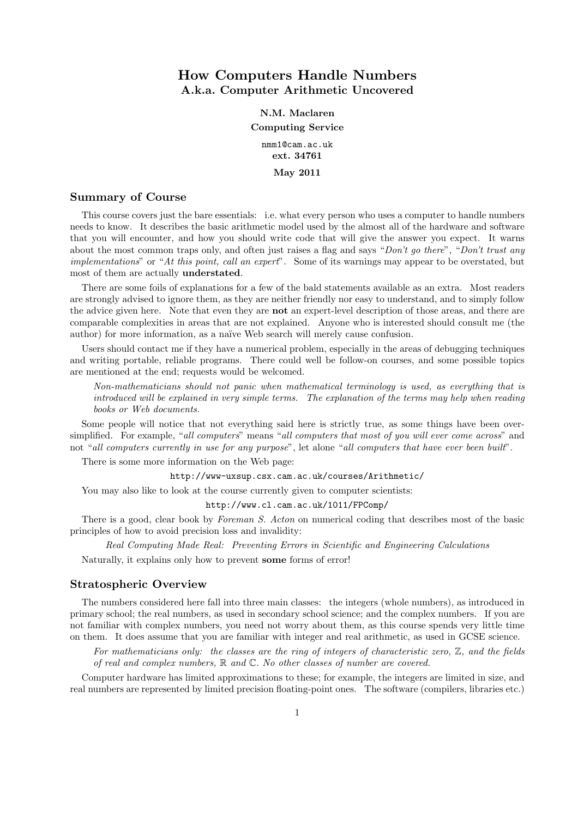# How Computers Handle Numbers A.k.a. Computer Arithmetic Uncovered

N.M. Maclaren Computing Service nmm1@cam.ac.uk ext. 34761

May 2011

# Summary of Course

This course covers just the bare essentials: i.e. what every person who uses a computer to handle numbers needs to know. It describes the basic arithmetic model used by the almost all of the hardware and software that you will encounter, and how you should write code that will give the answer you expect. It warns about the most common traps only, and often just raises a flag and says "*Don't go there*", "*Don't trust any implementations*" or "*At this point, call an expert*". Some of its warnings may appear to be overstated, but most of them are actually understated.

There are some foils of explanations for a few of the bald statements available as an extra. Most readers are strongly advised to ignore them, as they are neither friendly nor easy to understand, and to simply follow the advice given here. Note that even they are not an expert-level description of those areas, and there are comparable complexities in areas that are not explained. Anyone who is interested should consult me (the author) for more information, as a naïve Web search will merely cause confusion.

Users should contact me if they have a numerical problem, especially in the areas of debugging techniques and writing portable, reliable programs. There could well be follow-on courses, and some possible topics are mentioned at the end; requests would be welcomed.

*Non-mathematicians should not panic when mathematical terminology is used, as everything that is introduced will be explained in very simple terms. The explanation of the terms may help when reading books or Web documents.*

Some people will notice that not everything said here is strictly true, as some things have been oversimplified. For example, "*all computers*" means "*all computers that most of you will ever come across*" and not "*all computers currently in use for any purpose*", let alone "*all computers that have ever been built*".

There is some more information on the Web page:

http://www-uxsup.csx.cam.ac.uk/courses/Arithmetic/

You may also like to look at the course currently given to computer scientists:

http://www.cl.cam.ac.uk/1011/FPComp/

There is a good, clear book by *Foreman S. Acton* on numerical coding that describes most of the basic principles of how to avoid precision loss and invalidity:

*Real Computing Made Real: Preventing Errors in Scientific and Engineering Calculations*

Naturally, it explains only how to prevent some forms of error!

#### Stratospheric Overview

The numbers considered here fall into three main classes: the integers (whole numbers), as introduced in primary school; the real numbers, as used in secondary school science; and the complex numbers. If you are not familiar with complex numbers, you need not worry about them, as this course spends very little time on them. It does assume that you are familiar with integer and real arithmetic, as used in GCSE science.

*For mathematicians only: the classes are the ring of integers of characteristic zero,* Z*, and the fields of real and complex numbers,* R *and* C*. No other classes of number are covered.*

Computer hardware has limited approximations to these; for example, the integers are limited in size, and real numbers are represented by limited precision floating-point ones. The software (compilers, libraries etc.)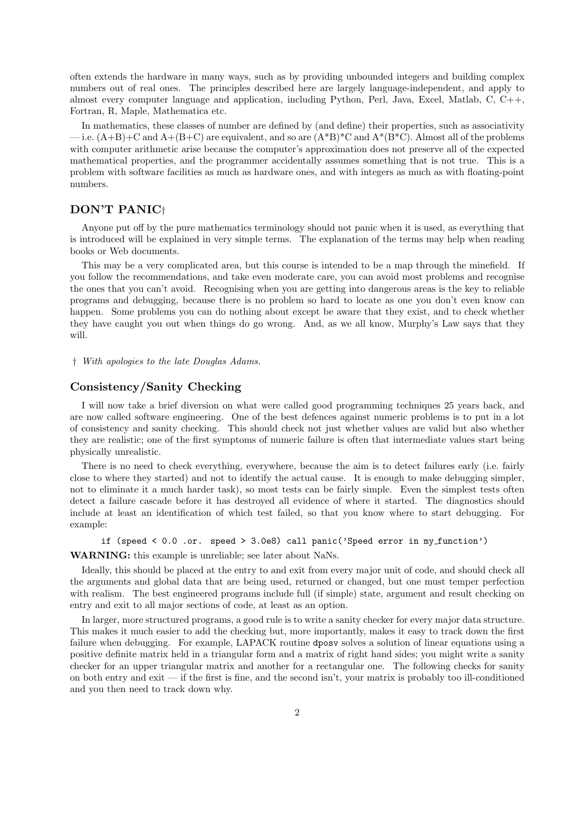often extends the hardware in many ways, such as by providing unbounded integers and building complex numbers out of real ones. The principles described here are largely language-independent, and apply to almost every computer language and application, including Python, Perl, Java, Excel, Matlab, C, C++, Fortran, R, Maple, Mathematica etc.

In mathematics, these classes of number are defined by (and define) their properties, such as associativity — i.e.  $(A+B)+C$  and  $A+(B+C)$  are equivalent, and so are  $(A*B)^*C$  and  $A*(B*C)$ . Almost all of the problems with computer arithmetic arise because the computer's approximation does not preserve all of the expected mathematical properties, and the programmer accidentally assumes something that is not true. This is a problem with software facilities as much as hardware ones, and with integers as much as with floating-point numbers.

# DON'T PANIC†

Anyone put off by the pure mathematics terminology should not panic when it is used, as everything that is introduced will be explained in very simple terms. The explanation of the terms may help when reading books or Web documents.

This may be a very complicated area, but this course is intended to be a map through the minefield. If you follow the recommendations, and take even moderate care, you can avoid most problems and recognise the ones that you can't avoid. Recognising when you are getting into dangerous areas is the key to reliable programs and debugging, because there is no problem so hard to locate as one you don't even know can happen. Some problems you can do nothing about except be aware that they exist, and to check whether they have caught you out when things do go wrong. And, as we all know, Murphy's Law says that they will.

† *With apologies to the late Douglas Adams.*

#### Consistency/Sanity Checking

I will now take a brief diversion on what were called good programming techniques 25 years back, and are now called software engineering. One of the best defences against numeric problems is to put in a lot of consistency and sanity checking. This should check not just whether values are valid but also whether they are realistic; one of the first symptoms of numeric failure is often that intermediate values start being physically unrealistic.

There is no need to check everything, everywhere, because the aim is to detect failures early (i.e. fairly close to where they started) and not to identify the actual cause. It is enough to make debugging simpler, not to eliminate it a much harder task), so most tests can be fairly simple. Even the simplest tests often detect a failure cascade before it has destroyed all evidence of where it started. The diagnostics should include at least an identification of which test failed, so that you know where to start debugging. For example:

if (speed < 0.0 .or. speed > 3.0e8) call panic('Speed error in my function') WARNING: this example is unreliable; see later about NaNs.

Ideally, this should be placed at the entry to and exit from every major unit of code, and should check all the arguments and global data that are being used, returned or changed, but one must temper perfection with realism. The best engineered programs include full (if simple) state, argument and result checking on entry and exit to all major sections of code, at least as an option.

In larger, more structured programs, a good rule is to write a sanity checker for every major data structure. This makes it much easier to add the checking but, more importantly, makes it easy to track down the first failure when debugging. For example, LAPACK routine dposv solves a solution of linear equations using a positive definite matrix held in a triangular form and a matrix of right hand sides; you might write a sanity checker for an upper triangular matrix and another for a rectangular one. The following checks for sanity on both entry and exit — if the first is fine, and the second isn't, your matrix is probably too ill-conditioned and you then need to track down why.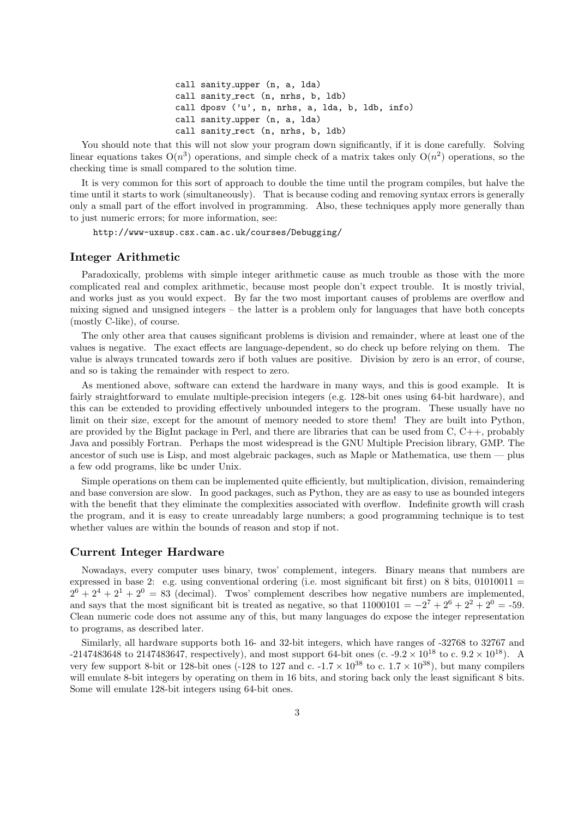```
call sanity upper (n, a, lda)
call sanity_rect (n, nrhs, b, ldb)
call dposv ('u', n, nrhs, a, lda, b, ldb, info)
call sanity upper (n, a, lda)
call sanity_rect (n, nrhs, b, 1db)
```
You should note that this will not slow your program down significantly, if it is done carefully. Solving linear equations takes  $O(n^3)$  operations, and simple check of a matrix takes only  $O(n^2)$  operations, so the checking time is small compared to the solution time.

It is very common for this sort of approach to double the time until the program compiles, but halve the time until it starts to work (simultaneously). That is because coding and removing syntax errors is generally only a small part of the effort involved in programming. Also, these techniques apply more generally than to just numeric errors; for more information, see:

http://www-uxsup.csx.cam.ac.uk/courses/Debugging/

## Integer Arithmetic

Paradoxically, problems with simple integer arithmetic cause as much trouble as those with the more complicated real and complex arithmetic, because most people don't expect trouble. It is mostly trivial, and works just as you would expect. By far the two most important causes of problems are overflow and mixing signed and unsigned integers – the latter is a problem only for languages that have both concepts (mostly C-like), of course.

The only other area that causes significant problems is division and remainder, where at least one of the values is negative. The exact effects are language-dependent, so do check up before relying on them. The value is always truncated towards zero if both values are positive. Division by zero is an error, of course, and so is taking the remainder with respect to zero.

As mentioned above, software can extend the hardware in many ways, and this is good example. It is fairly straightforward to emulate multiple-precision integers (e.g. 128-bit ones using 64-bit hardware), and this can be extended to providing effectively unbounded integers to the program. These usually have no limit on their size, except for the amount of memory needed to store them! They are built into Python, are provided by the BigInt package in Perl, and there are libraries that can be used from C, C++, probably Java and possibly Fortran. Perhaps the most widespread is the GNU Multiple Precision library, GMP. The ancestor of such use is Lisp, and most algebraic packages, such as Maple or Mathematica, use them — plus a few odd programs, like bc under Unix.

Simple operations on them can be implemented quite efficiently, but multiplication, division, remaindering and base conversion are slow. In good packages, such as Python, they are as easy to use as bounded integers with the benefit that they eliminate the complexities associated with overflow. Indefinite growth will crash the program, and it is easy to create unreadably large numbers; a good programming technique is to test whether values are within the bounds of reason and stop if not.

#### Current Integer Hardware

Nowadays, every computer uses binary, twos' complement, integers. Binary means that numbers are expressed in base 2: e.g. using conventional ordering (i.e. most significant bit first) on 8 bits,  $01010011$  =  $2^6 + 2^4 + 2^1 + 2^0 = 83$  (decimal). Twos' complement describes how negative numbers are implemented, and says that the most significant bit is treated as negative, so that  $11000101 = -2^7 + 2^6 + 2^2 + 2^0 = -59$ . Clean numeric code does not assume any of this, but many languages do expose the integer representation to programs, as described later.

Similarly, all hardware supports both 16- and 32-bit integers, which have ranges of -32768 to 32767 and  $-2147483648$  to  $2147483647$ , respectively), and most support 64-bit ones (c.  $-9.2 \times 10^{18}$  to c.  $9.2 \times 10^{18}$ ). A very few support 8-bit or 128-bit ones (-128 to 127 and c. -1.7  $\times$  10<sup>38</sup> to c. 1.7  $\times$  10<sup>38</sup>), but many compilers will emulate 8-bit integers by operating on them in 16 bits, and storing back only the least significant 8 bits. Some will emulate 128-bit integers using 64-bit ones.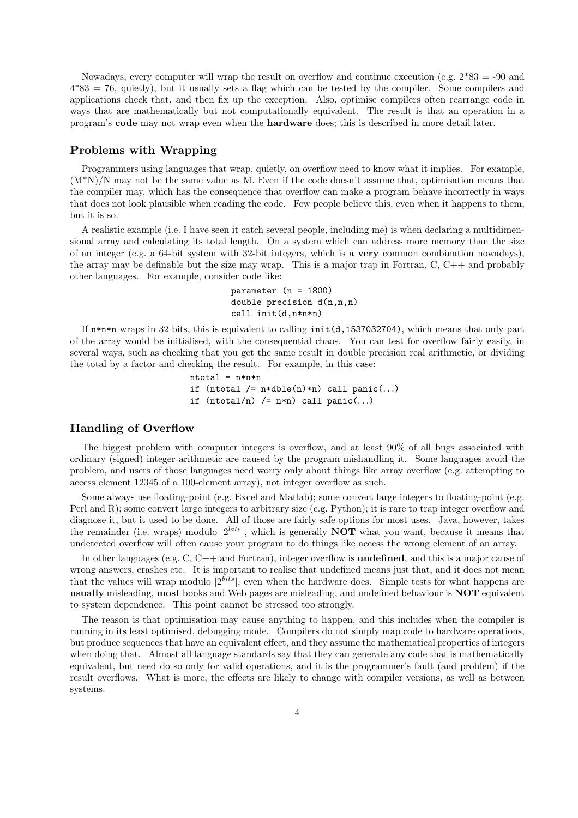Nowadays, every computer will wrap the result on overflow and continue execution (e.g.  $2*83 = -90$  and  $4*83 = 76$ , quietly), but it usually sets a flag which can be tested by the compiler. Some compilers and applications check that, and then fix up the exception. Also, optimise compilers often rearrange code in ways that are mathematically but not computationally equivalent. The result is that an operation in a program's code may not wrap even when the hardware does; this is described in more detail later.

#### Problems with Wrapping

Programmers using languages that wrap, quietly, on overflow need to know what it implies. For example, (M\*N)/N may not be the same value as M. Even if the code doesn't assume that, optimisation means that the compiler may, which has the consequence that overflow can make a program behave incorrectly in ways that does not look plausible when reading the code. Few people believe this, even when it happens to them, but it is so.

A realistic example (i.e. I have seen it catch several people, including me) is when declaring a multidimensional array and calculating its total length. On a system which can address more memory than the size of an integer (e.g. a 64-bit system with 32-bit integers, which is a very common combination nowadays), the array may be definable but the size may wrap. This is a major trap in Fortran, C, C++ and probably other languages. For example, consider code like:

```
parameter (n = 1800)
double precision d(n,n,n)call init(d,n*n*n)
```
If  $n*n*n$  wraps in 32 bits, this is equivalent to calling  $init(d,1537032704)$ , which means that only part of the array would be initialised, with the consequential chaos. You can test for overflow fairly easily, in several ways, such as checking that you get the same result in double precision real arithmetic, or dividing the total by a factor and checking the result. For example, in this case:

```
ntotal = n*n*n
if (ntotal /= n*dble(n)*n) call panic(...)
if (ntotal/n) /= n*n) call panic(...)
```
#### Handling of Overflow

The biggest problem with computer integers is overflow, and at least 90% of all bugs associated with ordinary (signed) integer arithmetic are caused by the program mishandling it. Some languages avoid the problem, and users of those languages need worry only about things like array overflow (e.g. attempting to access element 12345 of a 100-element array), not integer overflow as such.

Some always use floating-point (e.g. Excel and Matlab); some convert large integers to floating-point (e.g. Perl and R); some convert large integers to arbitrary size (e.g. Python); it is rare to trap integer overflow and diagnose it, but it used to be done. All of those are fairly safe options for most uses. Java, however, takes the remainder (i.e. wraps) modulo  $|2^{bits}|$ , which is generally **NOT** what you want, because it means that undetected overflow will often cause your program to do things like access the wrong element of an array.

In other languages (e.g. C, C++ and Fortran), integer overflow is **undefined**, and this is a major cause of wrong answers, crashes etc. It is important to realise that undefined means just that, and it does not mean that the values will wrap modulo  $|2^{bits}|$ , even when the hardware does. Simple tests for what happens are usually misleading, most books and Web pages are misleading, and undefined behaviour is NOT equivalent to system dependence. This point cannot be stressed too strongly.

The reason is that optimisation may cause anything to happen, and this includes when the compiler is running in its least optimised, debugging mode. Compilers do not simply map code to hardware operations, but produce sequences that have an equivalent effect, and they assume the mathematical properties of integers when doing that. Almost all language standards say that they can generate any code that is mathematically equivalent, but need do so only for valid operations, and it is the programmer's fault (and problem) if the result overflows. What is more, the effects are likely to change with compiler versions, as well as between systems.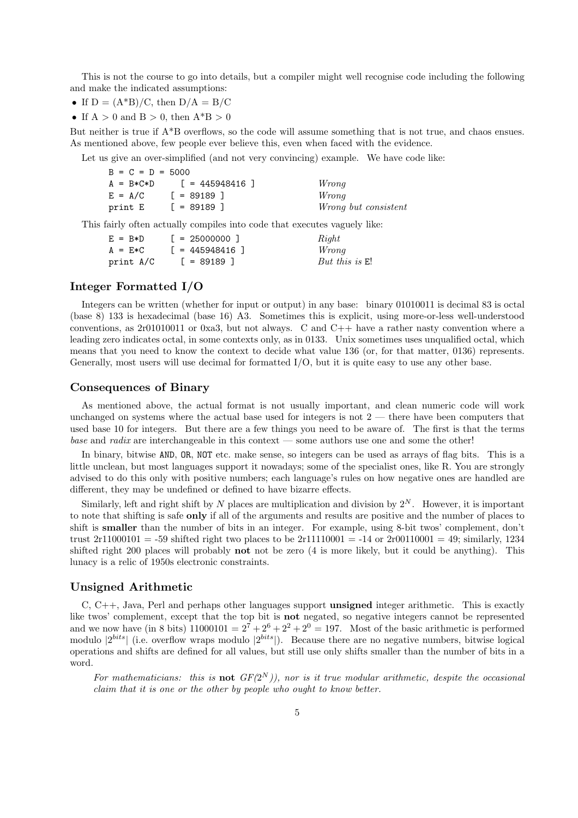This is not the course to go into details, but a compiler might well recognise code including the following and make the indicated assumptions:

- If  $D = (A^*B)/C$ , then  $D/A = B/C$
- If  $A > 0$  and  $B > 0$ , then  $A^*B > 0$

But neither is true if A\*B overflows, so the code will assume something that is not true, and chaos ensues. As mentioned above, few people ever believe this, even when faced with the evidence.

Let us give an over-simplified (and not very convincing) example. We have code like:

| $B = C = D = 5000$ |                    |                             |
|--------------------|--------------------|-----------------------------|
| $A = B*C*D$        | [ = 445948416 ]    | Wrong                       |
| $E = A/C$          | $\lceil$ = 89189 ] | Wrong                       |
| print E            | $\lceil$ = 89189 ] | <i>Wrong but consistent</i> |

This fairly often actually compiles into code that executes vaguely like:

| $E = B*D$ | $\lceil$ = 25000000 1  | Right            |
|-----------|------------------------|------------------|
| $A = E*C$ | $\lceil$ = 445948416 ] | Wrong            |
| print A/C | $\lceil$ = 89189 ]     | But this is $E!$ |

# Integer Formatted I/O

Integers can be written (whether for input or output) in any base: binary 01010011 is decimal 83 is octal (base 8) 133 is hexadecimal (base 16) A3. Sometimes this is explicit, using more-or-less well-understood conventions, as 2r01010011 or 0xa3, but not always. C and C++ have a rather nasty convention where a leading zero indicates octal, in some contexts only, as in 0133. Unix sometimes uses unqualified octal, which means that you need to know the context to decide what value 136 (or, for that matter, 0136) represents. Generally, most users will use decimal for formatted I/O, but it is quite easy to use any other base.

#### Consequences of Binary

As mentioned above, the actual format is not usually important, and clean numeric code will work unchanged on systems where the actual base used for integers is not  $2$  — there have been computers that used base 10 for integers. But there are a few things you need to be aware of. The first is that the terms *base* and *radix* are interchangeable in this context — some authors use one and some the other!

In binary, bitwise AND, OR, NOT etc. make sense, so integers can be used as arrays of flag bits. This is a little unclean, but most languages support it nowadays; some of the specialist ones, like R. You are strongly advised to do this only with positive numbers; each language's rules on how negative ones are handled are different, they may be undefined or defined to have bizarre effects.

Similarly, left and right shift by N places are multiplication and division by  $2^N$ . However, it is important to note that shifting is safe only if all of the arguments and results are positive and the number of places to shift is smaller than the number of bits in an integer. For example, using 8-bit twos' complement, don't trust  $2r11000101 = -59$  shifted right two places to be  $2r11110001 = -14$  or  $2r00110001 = 49$ ; similarly, 1234 shifted right 200 places will probably not not be zero (4 is more likely, but it could be anything). This lunacy is a relic of 1950s electronic constraints.

## Unsigned Arithmetic

C,  $C_{++}$ , Java, Perl and perhaps other languages support **unsigned** integer arithmetic. This is exactly like twos' complement, except that the top bit is not negated, so negative integers cannot be represented and we now have (in 8 bits)  $11000101 = 2^7 + 2^6 + 2^2 + 2^0 = 197$ . Most of the basic arithmetic is performed modulo  $|2^{bits}|$  (i.e. overflow wraps modulo  $|2^{bits}|$ ). Because there are no negative numbers, bitwise logical operations and shifts are defined for all values, but still use only shifts smaller than the number of bits in a word.

For mathematicians: this is **not**  $GF(2^N)$ ), nor is it true modular arithmetic, despite the occasional *claim that it is one or the other by people who ought to know better.*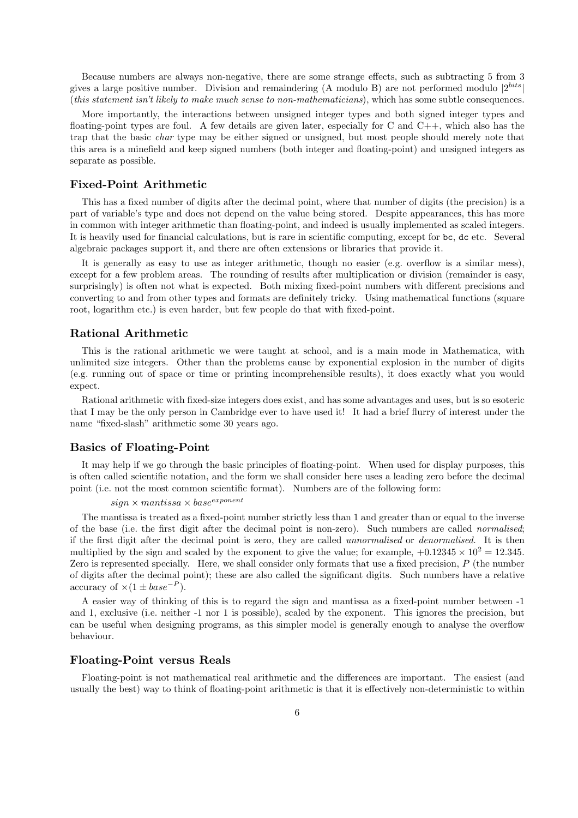Because numbers are always non-negative, there are some strange effects, such as subtracting 5 from 3 gives a large positive number. Division and remaindering (A modulo B) are not performed modulo  $|2^{bits}|$ (*this statement isn't likely to make much sense to non-mathematicians*), which has some subtle consequences.

More importantly, the interactions between unsigned integer types and both signed integer types and floating-point types are foul. A few details are given later, especially for C and C++, which also has the trap that the basic *char* type may be either signed or unsigned, but most people should merely note that this area is a minefield and keep signed numbers (both integer and floating-point) and unsigned integers as separate as possible.

#### Fixed-Point Arithmetic

This has a fixed number of digits after the decimal point, where that number of digits (the precision) is a part of variable's type and does not depend on the value being stored. Despite appearances, this has more in common with integer arithmetic than floating-point, and indeed is usually implemented as scaled integers. It is heavily used for financial calculations, but is rare in scientific computing, except for bc, dc etc. Several algebraic packages support it, and there are often extensions or libraries that provide it.

It is generally as easy to use as integer arithmetic, though no easier (e.g. overflow is a similar mess), except for a few problem areas. The rounding of results after multiplication or division (remainder is easy, surprisingly) is often not what is expected. Both mixing fixed-point numbers with different precisions and converting to and from other types and formats are definitely tricky. Using mathematical functions (square root, logarithm etc.) is even harder, but few people do that with fixed-point.

#### Rational Arithmetic

This is the rational arithmetic we were taught at school, and is a main mode in Mathematica, with unlimited size integers. Other than the problems cause by exponential explosion in the number of digits (e.g. running out of space or time or printing incomprehensible results), it does exactly what you would expect.

Rational arithmetic with fixed-size integers does exist, and has some advantages and uses, but is so esoteric that I may be the only person in Cambridge ever to have used it! It had a brief flurry of interest under the name "fixed-slash" arithmetic some 30 years ago.

#### Basics of Floating-Point

It may help if we go through the basic principles of floating-point. When used for display purposes, this is often called scientific notation, and the form we shall consider here uses a leading zero before the decimal point (i.e. not the most common scientific format). Numbers are of the following form:

```
sign \times mantissa \times base^{exponent}
```
The mantissa is treated as a fixed-point number strictly less than 1 and greater than or equal to the inverse of the base (i.e. the first digit after the decimal point is non-zero). Such numbers are called *normalised*; if the first digit after the decimal point is zero, they are called *unnormalised* or *denormalised*. It is then multiplied by the sign and scaled by the exponent to give the value; for example,  $+0.12345 \times 10^2 = 12.345$ . Zero is represented specially. Here, we shall consider only formats that use a fixed precision, P (the number of digits after the decimal point); these are also called the significant digits. Such numbers have a relative accuracy of  $\times(1 \pm base^{-P}).$ 

A easier way of thinking of this is to regard the sign and mantissa as a fixed-point number between -1 and 1, exclusive (i.e. neither -1 nor 1 is possible), scaled by the exponent. This ignores the precision, but can be useful when designing programs, as this simpler model is generally enough to analyse the overflow behaviour.

#### Floating-Point versus Reals

Floating-point is not mathematical real arithmetic and the differences are important. The easiest (and usually the best) way to think of floating-point arithmetic is that it is effectively non-deterministic to within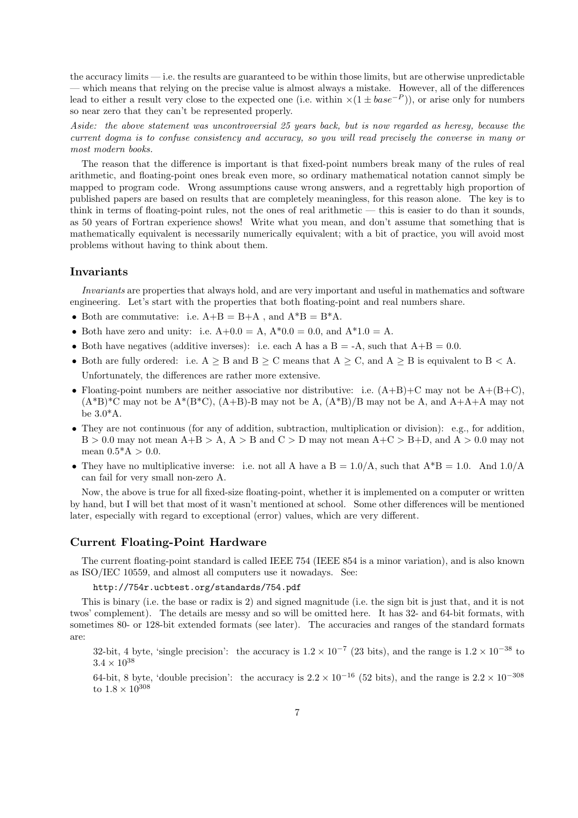the accuracy limits — i.e. the results are guaranteed to be within those limits, but are otherwise unpredictable — which means that relying on the precise value is almost always a mistake. However, all of the differences lead to either a result very close to the expected one (i.e. within  $\times(1 \pm base^{-P})$ ), or arise only for numbers so near zero that they can't be represented properly.

*Aside: the above statement was uncontroversial 25 years back, but is now regarded as heresy, because the current dogma is to confuse consistency and accuracy, so you will read precisely the converse in many or most modern books.*

The reason that the difference is important is that fixed-point numbers break many of the rules of real arithmetic, and floating-point ones break even more, so ordinary mathematical notation cannot simply be mapped to program code. Wrong assumptions cause wrong answers, and a regrettably high proportion of published papers are based on results that are completely meaningless, for this reason alone. The key is to think in terms of floating-point rules, not the ones of real arithmetic  $-$  this is easier to do than it sounds, as 50 years of Fortran experience shows! Write what you mean, and don't assume that something that is mathematically equivalent is necessarily numerically equivalent; with a bit of practice, you will avoid most problems without having to think about them.

# Invariants

*Invariants* are properties that always hold, and are very important and useful in mathematics and software engineering. Let's start with the properties that both floating-point and real numbers share.

- Both are commutative: i.e.  $A+B = B+A$ , and  $A^*B = B^*A$ .
- Both have zero and unity: i.e.  $A+0.0 = A$ ,  $A*0.0 = 0.0$ , and  $A*1.0 = A$ .
- Both have negatives (additive inverses): i.e. each A has a B = -A, such that  $A+B = 0.0$ .
- Both are fully ordered: i.e.  $A \geq B$  and  $B \geq C$  means that  $A \geq C$ , and  $A \geq B$  is equivalent to  $B < A$ . Unfortunately, the differences are rather more extensive.
- Floating-point numbers are neither associative nor distributive: i.e.  $(A+B)+C$  may not be  $A+(B+C)$ .  $(A*B)^*C$  may not be  $A^*(B^*C)$ ,  $(A+B)$ -B may not be A,  $(A^*B)/B$  may not be A, and  $A+A+A$  may not be 3.0\*A.
- They are not continuous (for any of addition, subtraction, multiplication or division): e.g., for addition,  $B > 0.0$  may not mean  $A + B > A$ ,  $A > B$  and  $C > D$  may not mean  $A + C > B + D$ , and  $A > 0.0$  may not mean  $0.5^*$ A > 0.0.
- They have no multiplicative inverse: i.e. not all A have a  $B = 1.0/A$ , such that  $A^*B = 1.0$ . And  $1.0/A$ can fail for very small non-zero A.

Now, the above is true for all fixed-size floating-point, whether it is implemented on a computer or written by hand, but I will bet that most of it wasn't mentioned at school. Some other differences will be mentioned later, especially with regard to exceptional (error) values, which are very different.

#### Current Floating-Point Hardware

The current floating-point standard is called IEEE 754 (IEEE 854 is a minor variation), and is also known as ISO/IEC 10559, and almost all computers use it nowadays. See:

http://754r.ucbtest.org/standards/754.pdf

This is binary (i.e. the base or radix is 2) and signed magnitude (i.e. the sign bit is just that, and it is not twos' complement). The details are messy and so will be omitted here. It has 32- and 64-bit formats, with sometimes 80- or 128-bit extended formats (see later). The accuracies and ranges of the standard formats are:

32-bit, 4 byte, 'single precision': the accuracy is  $1.2 \times 10^{-7}$  (23 bits), and the range is  $1.2 \times 10^{-38}$  to  $3.4 \times 10^{38}$ 

64-bit, 8 byte, 'double precision': the accuracy is  $2.2 \times 10^{-16}$  (52 bits), and the range is  $2.2 \times 10^{-308}$ to  $1.8 \times 10^{308}$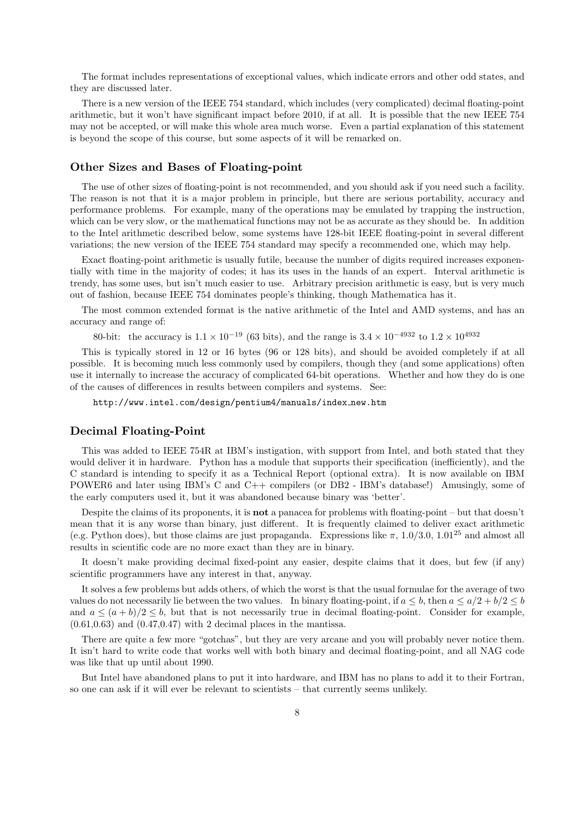The format includes representations of exceptional values, which indicate errors and other odd states, and they are discussed later.

There is a new version of the IEEE 754 standard, which includes (very complicated) decimal floating-point arithmetic, but it won't have significant impact before 2010, if at all. It is possible that the new IEEE 754 may not be accepted, or will make this whole area much worse. Even a partial explanation of this statement is beyond the scope of this course, but some aspects of it will be remarked on.

#### Other Sizes and Bases of Floating-point

The use of other sizes of floating-point is not recommended, and you should ask if you need such a facility. The reason is not that it is a major problem in principle, but there are serious portability, accuracy and performance problems. For example, many of the operations may be emulated by trapping the instruction, which can be very slow, or the mathematical functions may not be as accurate as they should be. In addition to the Intel arithmetic described below, some systems have 128-bit IEEE floating-point in several different variations; the new version of the IEEE 754 standard may specify a recommended one, which may help.

Exact floating-point arithmetic is usually futile, because the number of digits required increases exponentially with time in the majority of codes; it has its uses in the hands of an expert. Interval arithmetic is trendy, has some uses, but isn't much easier to use. Arbitrary precision arithmetic is easy, but is very much out of fashion, because IEEE 754 dominates people's thinking, though Mathematica has it.

The most common extended format is the native arithmetic of the Intel and AMD systems, and has an accuracy and range of:

80-bit: the accuracy is  $1.1 \times 10^{-19}$  (63 bits), and the range is  $3.4 \times 10^{-4932}$  to  $1.2 \times 10^{4932}$ 

This is typically stored in 12 or 16 bytes (96 or 128 bits), and should be avoided completely if at all possible. It is becoming much less commonly used by compilers, though they (and some applications) often use it internally to increase the accuracy of complicated 64-bit operations. Whether and how they do is one of the causes of differences in results between compilers and systems. See:

http://www.intel.com/design/pentium4/manuals/index new.htm

#### Decimal Floating-Point

This was added to IEEE 754R at IBM's instigation, with support from Intel, and both stated that they would deliver it in hardware. Python has a module that supports their specification (inefficiently), and the C standard is intending to specify it as a Technical Report (optional extra). It is now available on IBM POWER6 and later using IBM's C and C++ compilers (or DB2 - IBM's database!) Amusingly, some of the early computers used it, but it was abandoned because binary was 'better'.

Despite the claims of its proponents, it is not a panacea for problems with floating-point – but that doesn't mean that it is any worse than binary, just different. It is frequently claimed to deliver exact arithmetic (e.g. Python does), but those claims are just propaganda. Expressions like  $\pi$ , 1.0/3.0, 1.01<sup>25</sup> and almost all results in scientific code are no more exact than they are in binary.

It doesn't make providing decimal fixed-point any easier, despite claims that it does, but few (if any) scientific programmers have any interest in that, anyway.

It solves a few problems but adds others, of which the worst is that the usual formulae for the average of two values do not necessarily lie between the two values. In binary floating-point, if  $a \leq b$ , then  $a \leq a/2 + b/2 \leq b$ and  $a \leq (a + b)/2 \leq b$ , but that is not necessarily true in decimal floating-point. Consider for example,  $(0.61, 0.63)$  and  $(0.47, 0.47)$  with 2 decimal places in the mantissa.

There are quite a few more "gotchas", but they are very arcane and you will probably never notice them. It isn't hard to write code that works well with both binary and decimal floating-point, and all NAG code was like that up until about 1990.

But Intel have abandoned plans to put it into hardware, and IBM has no plans to add it to their Fortran, so one can ask if it will ever be relevant to scientists – that currently seems unlikely.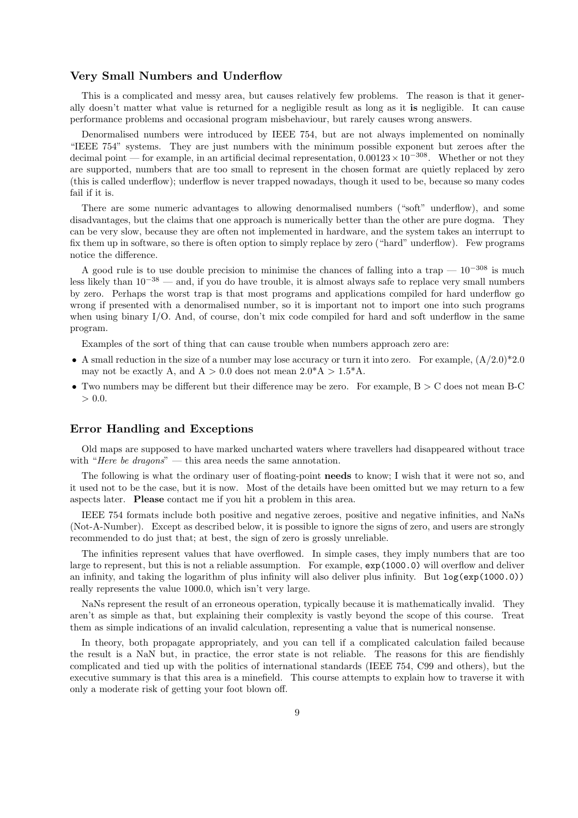#### Very Small Numbers and Underflow

This is a complicated and messy area, but causes relatively few problems. The reason is that it generally doesn't matter what value is returned for a negligible result as long as it is negligible. It can cause performance problems and occasional program misbehaviour, but rarely causes wrong answers.

Denormalised numbers were introduced by IEEE 754, but are not always implemented on nominally "IEEE 754" systems. They are just numbers with the minimum possible exponent but zeroes after the decimal point — for example, in an artificial decimal representation,  $0.00123 \times 10^{-308}$ . Whether or not they are supported, numbers that are too small to represent in the chosen format are quietly replaced by zero (this is called underflow); underflow is never trapped nowadays, though it used to be, because so many codes fail if it is.

There are some numeric advantages to allowing denormalised numbers ("soft" underflow), and some disadvantages, but the claims that one approach is numerically better than the other are pure dogma. They can be very slow, because they are often not implemented in hardware, and the system takes an interrupt to fix them up in software, so there is often option to simply replace by zero ("hard" underflow). Few programs notice the difference.

A good rule is to use double precision to minimise the chances of falling into a trap —  $10^{-308}$  is much less likely than 10−<sup>38</sup> — and, if you do have trouble, it is almost always safe to replace very small numbers by zero. Perhaps the worst trap is that most programs and applications compiled for hard underflow go wrong if presented with a denormalised number, so it is important not to import one into such programs when using binary I/O. And, of course, don't mix code compiled for hard and soft underflow in the same program.

Examples of the sort of thing that can cause trouble when numbers approach zero are:

- A small reduction in the size of a number may lose accuracy or turn it into zero. For example,  $(A/2.0)^*2.0$ may not be exactly A, and  $A > 0.0$  does not mean  $2.0^*A > 1.5^*A$ .
- Two numbers may be different but their difference may be zero. For example,  $B > C$  does not mean B-C  $> 0.0.$

#### Error Handling and Exceptions

Old maps are supposed to have marked uncharted waters where travellers had disappeared without trace with "*Here be dragons*" — this area needs the same annotation.

The following is what the ordinary user of floating-point needs to know; I wish that it were not so, and it used not to be the case, but it is now. Most of the details have been omitted but we may return to a few aspects later. Please contact me if you hit a problem in this area.

IEEE 754 formats include both positive and negative zeroes, positive and negative infinities, and NaNs (Not-A-Number). Except as described below, it is possible to ignore the signs of zero, and users are strongly recommended to do just that; at best, the sign of zero is grossly unreliable.

The infinities represent values that have overflowed. In simple cases, they imply numbers that are too large to represent, but this is not a reliable assumption. For example, exp(1000.0) will overflow and deliver an infinity, and taking the logarithm of plus infinity will also deliver plus infinity. But log(exp(1000.0)) really represents the value 1000.0, which isn't very large.

NaNs represent the result of an erroneous operation, typically because it is mathematically invalid. They aren't as simple as that, but explaining their complexity is vastly beyond the scope of this course. Treat them as simple indications of an invalid calculation, representing a value that is numerical nonsense.

In theory, both propagate appropriately, and you can tell if a complicated calculation failed because the result is a NaN but, in practice, the error state is not reliable. The reasons for this are fiendishly complicated and tied up with the politics of international standards (IEEE 754, C99 and others), but the executive summary is that this area is a minefield. This course attempts to explain how to traverse it with only a moderate risk of getting your foot blown off.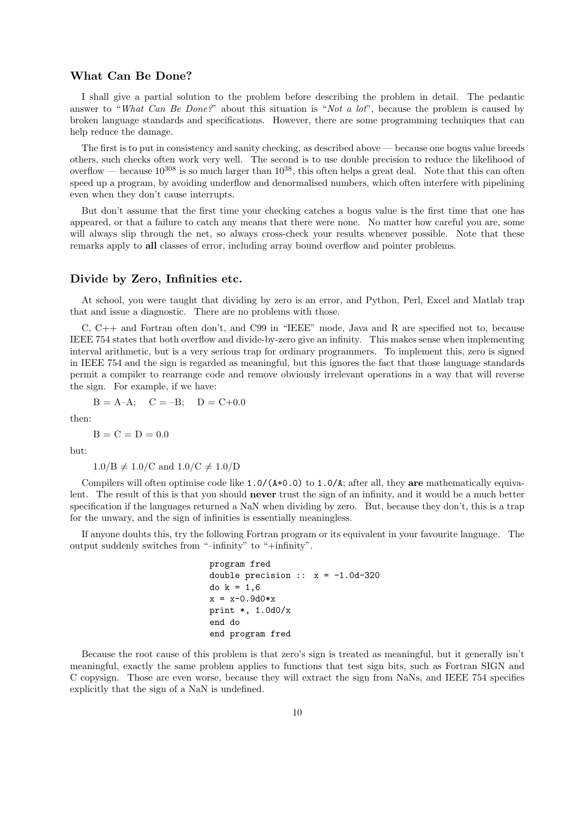#### What Can Be Done?

I shall give a partial solution to the problem before describing the problem in detail. The pedantic answer to "*What Can Be Done?*" about this situation is "*Not a lot*", because the problem is caused by broken language standards and specifications. However, there are some programming techniques that can help reduce the damage.

The first is to put in consistency and sanity checking, as described above — because one bogus value breeds others, such checks often work very well. The second is to use double precision to reduce the likelihood of overflow — because  $10^{308}$  is so much larger than  $10^{38}$ , this often helps a great deal. Note that this can often speed up a program, by avoiding underflow and denormalised numbers, which often interfere with pipelining even when they don't cause interrupts.

But don't assume that the first time your checking catches a bogus value is the first time that one has appeared, or that a failure to catch any means that there were none. No matter how careful you are, some will always slip through the net, so always cross-check your results whenever possible. Note that these remarks apply to all classes of error, including array bound overflow and pointer problems.

#### Divide by Zero, Infinities etc.

At school, you were taught that dividing by zero is an error, and Python, Perl, Excel and Matlab trap that and issue a diagnostic. There are no problems with those.

C, C++ and Fortran often don't, and C99 in "IEEE" mode, Java and R are specified not to, because IEEE 754 states that both overflow and divide-by-zero give an infinity. This makes sense when implementing interval arithmetic, but is a very serious trap for ordinary programmers. To implement this, zero is signed in IEEE 754 and the sign is regarded as meaningful, but this ignores the fact that those language standards permit a compiler to rearrange code and remove obviously irrelevant operations in a way that will reverse the sign. For example, if we have:

$$
B = A-A;
$$
  $C = -B;$   $D = C+0.0$ 

then:

$$
B = C = D = 0.0
$$

but:

 $1.0/B \neq 1.0/C$  and  $1.0/C \neq 1.0/D$ 

Compilers will often optimise code like  $1.0/(A+0.0)$  to  $1.0/A$ ; after all, they are mathematically equivalent. The result of this is that you should never trust the sign of an infinity, and it would be a much better specification if the languages returned a NaN when dividing by zero. But, because they don't, this is a trap for the unwary, and the sign of infinities is essentially meaningless.

If anyone doubts this, try the following Fortran program or its equivalent in your favourite language. The output suddenly switches from "–infinity" to "+infinity".

```
program fred
double precision :: x = -1.0d-320do k = 1, 6x = x - 0.9d0*xprint *, 1.0d0/x
end do
end program fred
```
Because the root cause of this problem is that zero's sign is treated as meaningful, but it generally isn't meaningful, exactly the same problem applies to functions that test sign bits, such as Fortran SIGN and C copysign. Those are even worse, because they will extract the sign from NaNs, and IEEE 754 specifies explicitly that the sign of a NaN is undefined.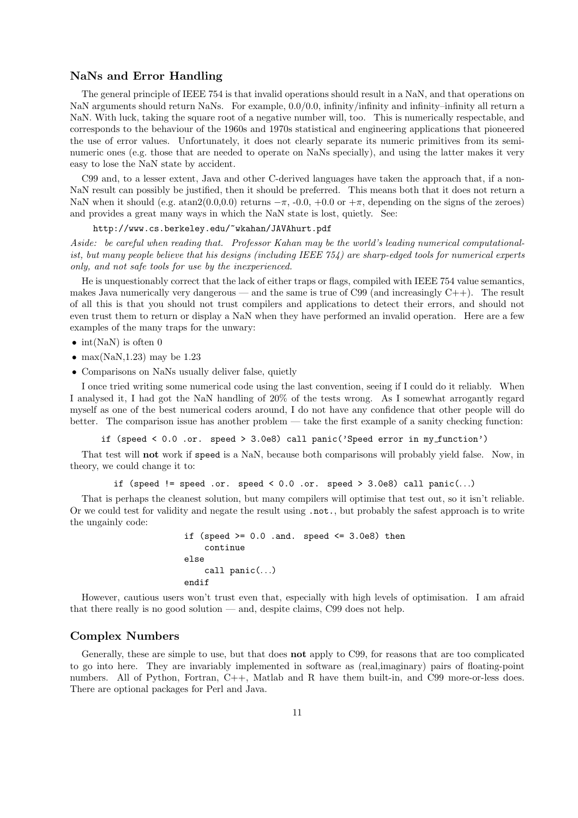# NaNs and Error Handling

The general principle of IEEE 754 is that invalid operations should result in a NaN, and that operations on NaN arguments should return NaNs. For example, 0.0/0.0, infinity/infinity and infinity–infinity all return a NaN. With luck, taking the square root of a negative number will, too. This is numerically respectable, and corresponds to the behaviour of the 1960s and 1970s statistical and engineering applications that pioneered the use of error values. Unfortunately, it does not clearly separate its numeric primitives from its seminumeric ones (e.g. those that are needed to operate on NaNs specially), and using the latter makes it very easy to lose the NaN state by accident.

C99 and, to a lesser extent, Java and other C-derived languages have taken the approach that, if a non-NaN result can possibly be justified, then it should be preferred. This means both that it does not return a NaN when it should (e.g.  $\arctan(0.0,0.0)$  returns  $-\pi$ , -0.0, +0.0 or  $+\pi$ , depending on the signs of the zeroes) and provides a great many ways in which the NaN state is lost, quietly. See:

http://www.cs.berkeley.edu/~wkahan/JAVAhurt.pdf

*Aside: be careful when reading that. Professor Kahan may be the world's leading numerical computationalist, but many people believe that his designs (including IEEE 754) are sharp-edged tools for numerical experts only, and not safe tools for use by the inexperienced.*

He is unquestionably correct that the lack of either traps or flags, compiled with IEEE 754 value semantics, makes Java numerically very dangerous — and the same is true of C99 (and increasingly  $C_{++}$ ). The result of all this is that you should not trust compilers and applications to detect their errors, and should not even trust them to return or display a NaN when they have performed an invalid operation. Here are a few examples of the many traps for the unwary:

- int(NaN) is often 0
- max $(NaN,1.23)$  may be 1.23
- Comparisons on NaNs usually deliver false, quietly

I once tried writing some numerical code using the last convention, seeing if I could do it reliably. When I analysed it, I had got the NaN handling of 20% of the tests wrong. As I somewhat arrogantly regard myself as one of the best numerical coders around, I do not have any confidence that other people will do better. The comparison issue has another problem — take the first example of a sanity checking function:

if (speed < 0.0 .or. speed > 3.0e8) call panic('Speed error in my function')

That test will not work if speed is a NaN, because both comparisons will probably yield false. Now, in theory, we could change it to:

if (speed != speed .or. speed <  $0.0$  .or. speed >  $3.0e8$ ) call panic(...)

That is perhaps the cleanest solution, but many compilers will optimise that test out, so it isn't reliable. Or we could test for validity and negate the result using .not., but probably the safest approach is to write the ungainly code:

```
if (speed >= 0.0 .and. speed <= 3.0e8) then
    continue
else
    call panic(...)
endif
```
However, cautious users won't trust even that, especially with high levels of optimisation. I am afraid that there really is no good solution — and, despite claims, C99 does not help.

# Complex Numbers

Generally, these are simple to use, but that does not apply to C99, for reasons that are too complicated to go into here. They are invariably implemented in software as (real,imaginary) pairs of floating-point numbers. All of Python, Fortran, C++, Matlab and R have them built-in, and C99 more-or-less does. There are optional packages for Perl and Java.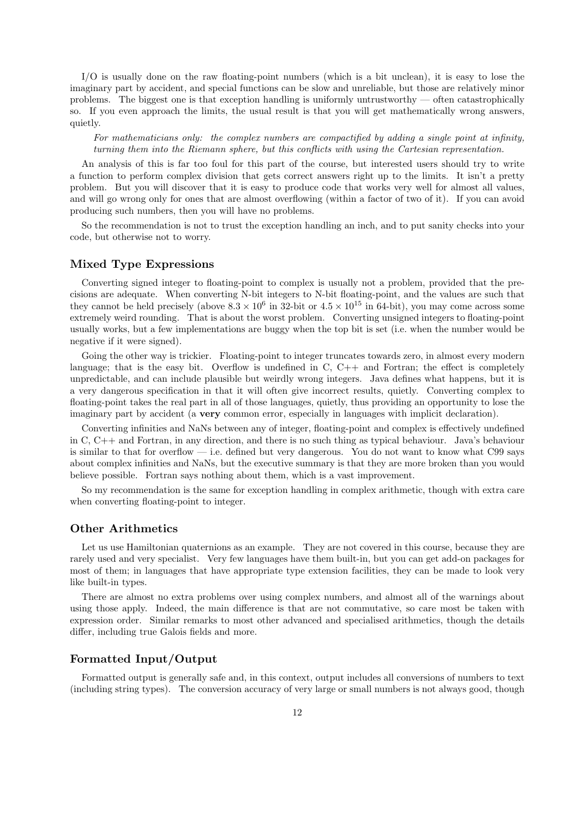I/O is usually done on the raw floating-point numbers (which is a bit unclean), it is easy to lose the imaginary part by accident, and special functions can be slow and unreliable, but those are relatively minor problems. The biggest one is that exception handling is uniformly untrustworthy — often catastrophically so. If you even approach the limits, the usual result is that you will get mathematically wrong answers, quietly.

*For mathematicians only: the complex numbers are compactified by adding a single point at infinity, turning them into the Riemann sphere, but this conflicts with using the Cartesian representation.*

An analysis of this is far too foul for this part of the course, but interested users should try to write a function to perform complex division that gets correct answers right up to the limits. It isn't a pretty problem. But you will discover that it is easy to produce code that works very well for almost all values, and will go wrong only for ones that are almost overflowing (within a factor of two of it). If you can avoid producing such numbers, then you will have no problems.

So the recommendation is not to trust the exception handling an inch, and to put sanity checks into your code, but otherwise not to worry.

#### Mixed Type Expressions

Converting signed integer to floating-point to complex is usually not a problem, provided that the precisions are adequate. When converting N-bit integers to N-bit floating-point, and the values are such that they cannot be held precisely (above  $8.3 \times 10^6$  in 32-bit or  $4.5 \times 10^{15}$  in 64-bit), you may come across some extremely weird rounding. That is about the worst problem. Converting unsigned integers to floating-point usually works, but a few implementations are buggy when the top bit is set (i.e. when the number would be negative if it were signed).

Going the other way is trickier. Floating-point to integer truncates towards zero, in almost every modern language; that is the easy bit. Overflow is undefined in  $C$ ,  $C++$  and Fortran; the effect is completely unpredictable, and can include plausible but weirdly wrong integers. Java defines what happens, but it is a very dangerous specification in that it will often give incorrect results, quietly. Converting complex to floating-point takes the real part in all of those languages, quietly, thus providing an opportunity to lose the imaginary part by accident (a very common error, especially in languages with implicit declaration).

Converting infinities and NaNs between any of integer, floating-point and complex is effectively undefined in C, C++ and Fortran, in any direction, and there is no such thing as typical behaviour. Java's behaviour is similar to that for overflow — i.e. defined but very dangerous. You do not want to know what C99 says about complex infinities and NaNs, but the executive summary is that they are more broken than you would believe possible. Fortran says nothing about them, which is a vast improvement.

So my recommendation is the same for exception handling in complex arithmetic, though with extra care when converting floating-point to integer.

#### Other Arithmetics

Let us use Hamiltonian quaternions as an example. They are not covered in this course, because they are rarely used and very specialist. Very few languages have them built-in, but you can get add-on packages for most of them; in languages that have appropriate type extension facilities, they can be made to look very like built-in types.

There are almost no extra problems over using complex numbers, and almost all of the warnings about using those apply. Indeed, the main difference is that are not commutative, so care most be taken with expression order. Similar remarks to most other advanced and specialised arithmetics, though the details differ, including true Galois fields and more.

# Formatted Input/Output

Formatted output is generally safe and, in this context, output includes all conversions of numbers to text (including string types). The conversion accuracy of very large or small numbers is not always good, though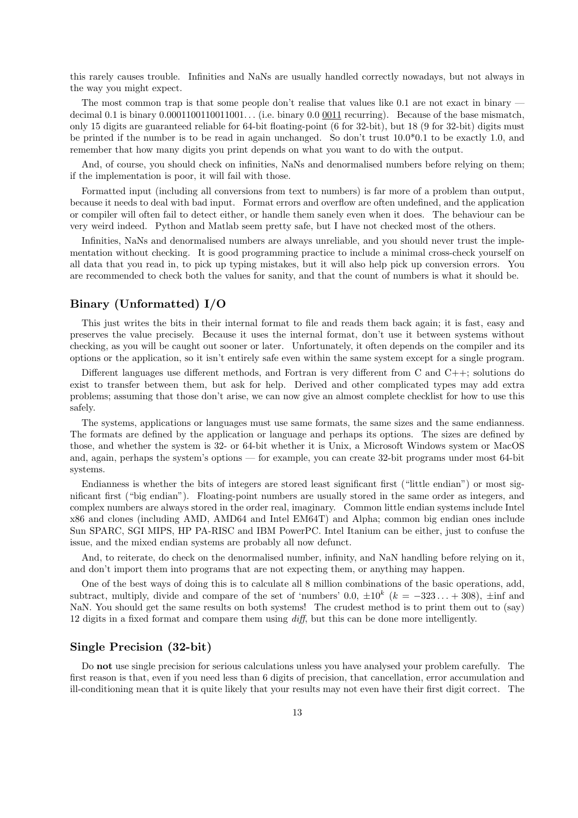this rarely causes trouble. Infinities and NaNs are usually handled correctly nowadays, but not always in the way you might expect.

The most common trap is that some people don't realise that values like 0.1 are not exact in binary decimal 0.1 is binary 0.0001100110011001... (i.e. binary 0.0 0011 recurring). Because of the base mismatch, only 15 digits are guaranteed reliable for 64-bit floating-point (6 for 32-bit), but 18 (9 for 32-bit) digits must be printed if the number is to be read in again unchanged. So don't trust 10.0\*0.1 to be exactly 1.0, and remember that how many digits you print depends on what you want to do with the output.

And, of course, you should check on infinities, NaNs and denormalised numbers before relying on them; if the implementation is poor, it will fail with those.

Formatted input (including all conversions from text to numbers) is far more of a problem than output, because it needs to deal with bad input. Format errors and overflow are often undefined, and the application or compiler will often fail to detect either, or handle them sanely even when it does. The behaviour can be very weird indeed. Python and Matlab seem pretty safe, but I have not checked most of the others.

Infinities, NaNs and denormalised numbers are always unreliable, and you should never trust the implementation without checking. It is good programming practice to include a minimal cross-check yourself on all data that you read in, to pick up typing mistakes, but it will also help pick up conversion errors. You are recommended to check both the values for sanity, and that the count of numbers is what it should be.

# Binary (Unformatted) I/O

This just writes the bits in their internal format to file and reads them back again; it is fast, easy and preserves the value precisely. Because it uses the internal format, don't use it between systems without checking, as you will be caught out sooner or later. Unfortunately, it often depends on the compiler and its options or the application, so it isn't entirely safe even within the same system except for a single program.

Different languages use different methods, and Fortran is very different from C and C++; solutions do exist to transfer between them, but ask for help. Derived and other complicated types may add extra problems; assuming that those don't arise, we can now give an almost complete checklist for how to use this safely.

The systems, applications or languages must use same formats, the same sizes and the same endianness. The formats are defined by the application or language and perhaps its options. The sizes are defined by those, and whether the system is 32- or 64-bit whether it is Unix, a Microsoft Windows system or MacOS and, again, perhaps the system's options — for example, you can create 32-bit programs under most 64-bit systems.

Endianness is whether the bits of integers are stored least significant first ("little endian") or most significant first ("big endian"). Floating-point numbers are usually stored in the same order as integers, and complex numbers are always stored in the order real, imaginary. Common little endian systems include Intel x86 and clones (including AMD, AMD64 and Intel EM64T) and Alpha; common big endian ones include Sun SPARC, SGI MIPS, HP PA-RISC and IBM PowerPC. Intel Itanium can be either, just to confuse the issue, and the mixed endian systems are probably all now defunct.

And, to reiterate, do check on the denormalised number, infinity, and NaN handling before relying on it, and don't import them into programs that are not expecting them, or anything may happen.

One of the best ways of doing this is to calculate all 8 million combinations of the basic operations, add, subtract, multiply, divide and compare of the set of 'numbers' 0.0,  $\pm 10^k$  ( $k = -323... + 308$ ),  $\pm \inf$  and NaN. You should get the same results on both systems! The crudest method is to print them out to (say) 12 digits in a fixed format and compare them using *diff*, but this can be done more intelligently.

#### Single Precision (32-bit)

Do not use single precision for serious calculations unless you have analysed your problem carefully. The first reason is that, even if you need less than 6 digits of precision, that cancellation, error accumulation and ill-conditioning mean that it is quite likely that your results may not even have their first digit correct. The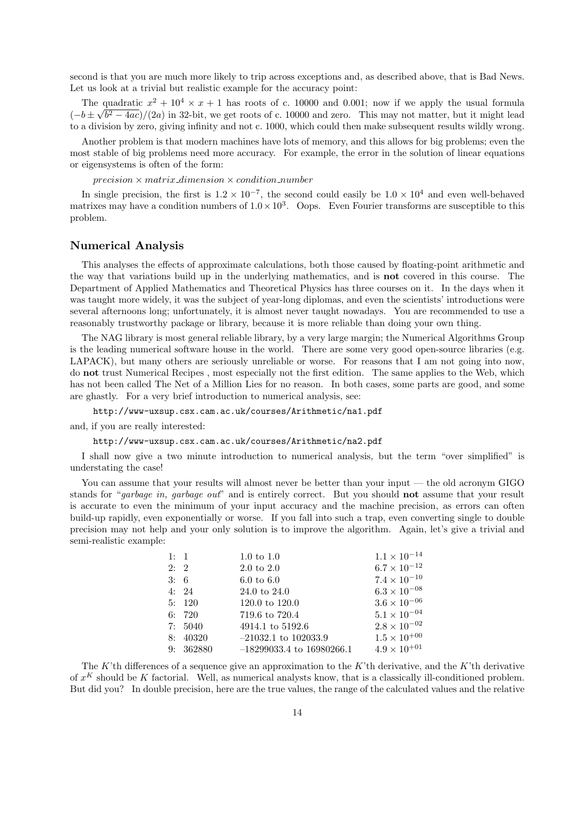second is that you are much more likely to trip across exceptions and, as described above, that is Bad News. Let us look at a trivial but realistic example for the accuracy point:

The quadratic  $x^2 + 10^4 \times x + 1$  has roots of c. 10000 and 0.001; now if we apply the usual formula  $(-b \pm \sqrt{b^2 - 4ac})/(2a)$  in 32-bit, we get roots of c. 10000 and zero. This may not matter, but it might lead to a division by zero, giving infinity and not c. 1000, which could then make subsequent results wildly wrong.

Another problem is that modern machines have lots of memory, and this allows for big problems; even the most stable of big problems need more accuracy. For example, the error in the solution of linear equations or eigensystems is often of the form:

 $precision \times matrix\_dimension \times condition\_number$ 

In single precision, the first is  $1.2 \times 10^{-7}$ , the second could easily be  $1.0 \times 10^{4}$  and even well-behaved matrixes may have a condition numbers of  $1.0 \times 10^3$ . Oops. Even Fourier transforms are susceptible to this problem.

#### Numerical Analysis

This analyses the effects of approximate calculations, both those caused by floating-point arithmetic and the way that variations build up in the underlying mathematics, and is not covered in this course. The Department of Applied Mathematics and Theoretical Physics has three courses on it. In the days when it was taught more widely, it was the subject of year-long diplomas, and even the scientists' introductions were several afternoons long; unfortunately, it is almost never taught nowadays. You are recommended to use a reasonably trustworthy package or library, because it is more reliable than doing your own thing.

The NAG library is most general reliable library, by a very large margin; the Numerical Algorithms Group is the leading numerical software house in the world. There are some very good open-source libraries (e.g. LAPACK), but many others are seriously unreliable or worse. For reasons that I am not going into now, do not trust Numerical Recipes , most especially not the first edition. The same applies to the Web, which has not been called The Net of a Million Lies for no reason. In both cases, some parts are good, and some are ghastly. For a very brief introduction to numerical analysis, see:

http://www-uxsup.csx.cam.ac.uk/courses/Arithmetic/na1.pdf

and, if you are really interested:

http://www-uxsup.csx.cam.ac.uk/courses/Arithmetic/na2.pdf

I shall now give a two minute introduction to numerical analysis, but the term "over simplified" is understating the case!

You can assume that your results will almost never be better than your input — the old acronym GIGO stands for "*garbage in, garbage out*" and is entirely correct. But you should not assume that your result is accurate to even the minimum of your input accuracy and the machine precision, as errors can often build-up rapidly, even exponentially or worse. If you fall into such a trap, even converting single to double precision may not help and your only solution is to improve the algorithm. Again, let's give a trivial and semi-realistic example:

| 1: 1 |          | $1.0 \text{ to } 1.0$                 | $1.1 \times 10^{-14}$                        |
|------|----------|---------------------------------------|----------------------------------------------|
| 2:2  |          | $2.0 \text{ to } 2.0$                 | $6.7\times10^{-12}$<br>$7.4 \times 10^{-10}$ |
| 3:6  | 4:24     | $6.0 \text{ to } 6.0$<br>24.0 to 24.0 | $6.3 \times 10^{-08}$                        |
|      | 5:120    | $120.0 \text{ to } 120.0$             | $3.6 \times 10^{-06}$                        |
|      | 6:720    | 719.6 to 720.4                        | $5.1\times10^{-04}$                          |
|      | 7:5040   | 4914.1 to 5192.6                      | $2.8\times10^{-02}$                          |
|      | 8:40320  | $-21032.1$ to 102033.9                | $1.5\times10^{+00}$                          |
|      | 9:362880 | $-18299033.4$ to 16980266.1           | $4.9 \times 10^{+01}$                        |

The K'th differences of a sequence give an approximation to the K'th derivative, and the K'th derivative of  $x^K$  should be K factorial. Well, as numerical analysts know, that is a classically ill-conditioned problem. But did you? In double precision, here are the true values, the range of the calculated values and the relative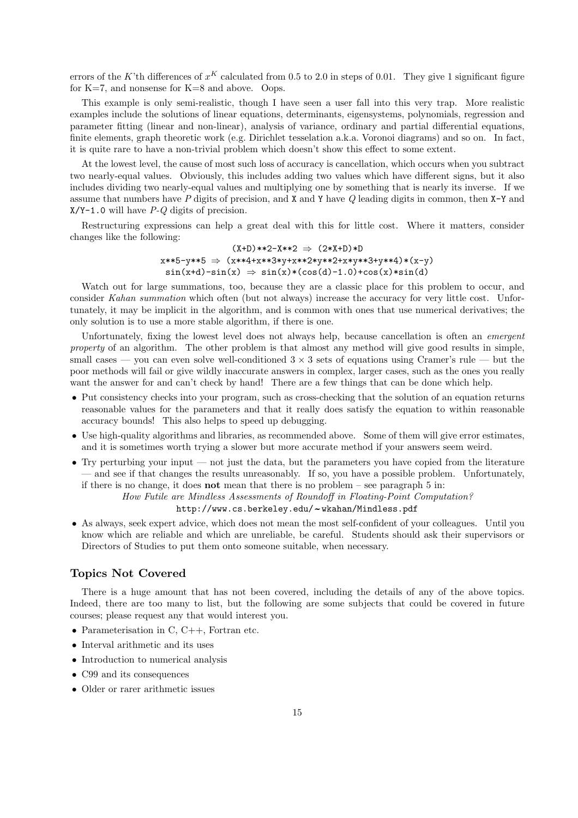errors of the K'th differences of  $x^K$  calculated from 0.5 to 2.0 in steps of 0.01. They give 1 significant figure for  $K=7$ , and nonsense for  $K=8$  and above. Oops.

This example is only semi-realistic, though I have seen a user fall into this very trap. More realistic examples include the solutions of linear equations, determinants, eigensystems, polynomials, regression and parameter fitting (linear and non-linear), analysis of variance, ordinary and partial differential equations, finite elements, graph theoretic work (e.g. Dirichlet tesselation a.k.a. Voronoi diagrams) and so on. In fact, it is quite rare to have a non-trivial problem which doesn't show this effect to some extent.

At the lowest level, the cause of most such loss of accuracy is cancellation, which occurs when you subtract two nearly-equal values. Obviously, this includes adding two values which have different signs, but it also includes dividing two nearly-equal values and multiplying one by something that is nearly its inverse. If we assume that numbers have *P* digits of precision, and X and Y have *Q* leading digits in common, then X-Y and X/Y-1.0 will have *P-Q* digits of precision.

Restructuring expressions can help a great deal with this for little cost. Where it matters, consider changes like the following:

> $(X+D)**2-X**2 \Rightarrow (2*X+D)*D$  $x**5-y**5 \Rightarrow (x**4+x**3*y+x**2*y*x*2+x*y**3+yk*4)*(x-y)$  $sin(x+d)-sin(x) \Rightarrow sin(x)*(cos(d)-1.0)+cos(x)*sin(d)$

Watch out for large summations, too, because they are a classic place for this problem to occur, and consider *Kahan summation* which often (but not always) increase the accuracy for very little cost. Unfortunately, it may be implicit in the algorithm, and is common with ones that use numerical derivatives; the only solution is to use a more stable algorithm, if there is one.

Unfortunately, fixing the lowest level does not always help, because cancellation is often an *emergent property* of an algorithm. The other problem is that almost any method will give good results in simple, small cases — you can even solve well-conditioned  $3 \times 3$  sets of equations using Cramer's rule — but the poor methods will fail or give wildly inaccurate answers in complex, larger cases, such as the ones you really want the answer for and can't check by hand! There are a few things that can be done which help.

- Put consistency checks into your program, such as cross-checking that the solution of an equation returns reasonable values for the parameters and that it really does satisfy the equation to within reasonable accuracy bounds! This also helps to speed up debugging.
- Use high-quality algorithms and libraries, as recommended above. Some of them will give error estimates, and it is sometimes worth trying a slower but more accurate method if your answers seem weird.
- Try perturbing your input not just the data, but the parameters you have copied from the literature — and see if that changes the results unreasonably. If so, you have a possible problem. Unfortunately, if there is no change, it does **not** mean that there is no problem – see paragraph  $5$  in:

#### *How Futile are Mindless Assessments of Roundoff in Floating-Point Computation?*

# http://www.cs.berkeley.edu/~wkahan/Mindless.pdf

• As always, seek expert advice, which does not mean the most self-confident of your colleagues. Until you know which are reliable and which are unreliable, be careful. Students should ask their supervisors or Directors of Studies to put them onto someone suitable, when necessary.

# Topics Not Covered

There is a huge amount that has not been covered, including the details of any of the above topics. Indeed, there are too many to list, but the following are some subjects that could be covered in future courses; please request any that would interest you.

- Parameterisation in C, C++, Fortran etc.
- Interval arithmetic and its uses
- Introduction to numerical analysis
- C99 and its consequences
- Older or rarer arithmetic issues